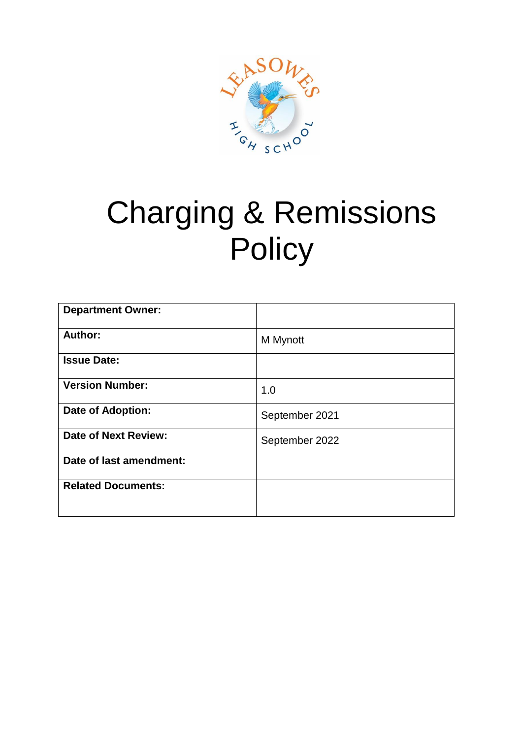

# Charging & Remissions **Policy**

| <b>Department Owner:</b>    |                |
|-----------------------------|----------------|
| Author:                     | M Mynott       |
| <b>Issue Date:</b>          |                |
| <b>Version Number:</b>      | 1.0            |
| <b>Date of Adoption:</b>    | September 2021 |
| <b>Date of Next Review:</b> | September 2022 |
| Date of last amendment:     |                |
| <b>Related Documents:</b>   |                |
|                             |                |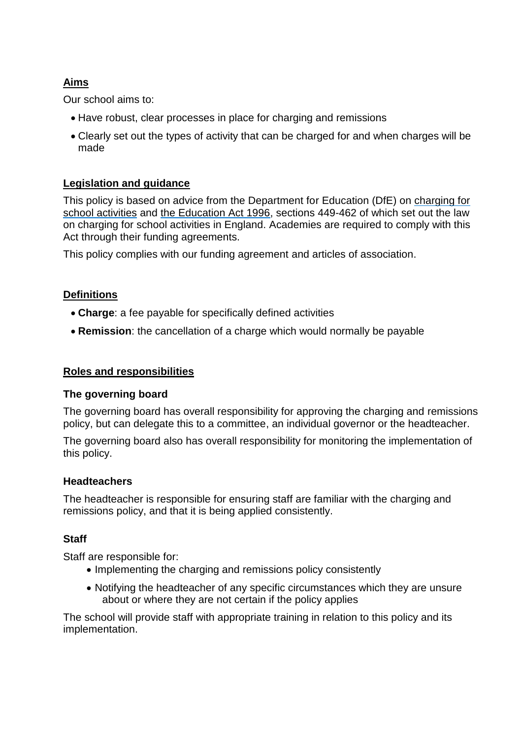## **Aims**

Our school aims to:

- Have robust, clear processes in place for charging and remissions
- Clearly set out the types of activity that can be charged for and when charges will be made

## **Legislation and guidance**

This policy is based on advice from the Department for Education (DfE) on [charging for](https://www.gov.uk/government/publications/charging-for-school-activities)  [school activities](https://www.gov.uk/government/publications/charging-for-school-activities) and [the Education Act 1996,](http://www.legislation.gov.uk/ukpga/1996/56/part/VI/chapter/III) sections 449-462 of which set out the law on charging for school activities in England. Academies are required to comply with this Act through their funding agreements.

This policy complies with our funding agreement and articles of association.

## **Definitions**

- **Charge**: a fee payable for specifically defined activities
- **Remission**: the cancellation of a charge which would normally be payable

#### **Roles and responsibilities**

#### **The governing board**

The governing board has overall responsibility for approving the charging and remissions policy, but can delegate this to a committee, an individual governor or the headteacher.

The governing board also has overall responsibility for monitoring the implementation of this policy.

#### **Headteachers**

The headteacher is responsible for ensuring staff are familiar with the charging and remissions policy, and that it is being applied consistently.

## **Staff**

Staff are responsible for:

- Implementing the charging and remissions policy consistently
- Notifying the headteacher of any specific circumstances which they are unsure about or where they are not certain if the policy applies

The school will provide staff with appropriate training in relation to this policy and its implementation.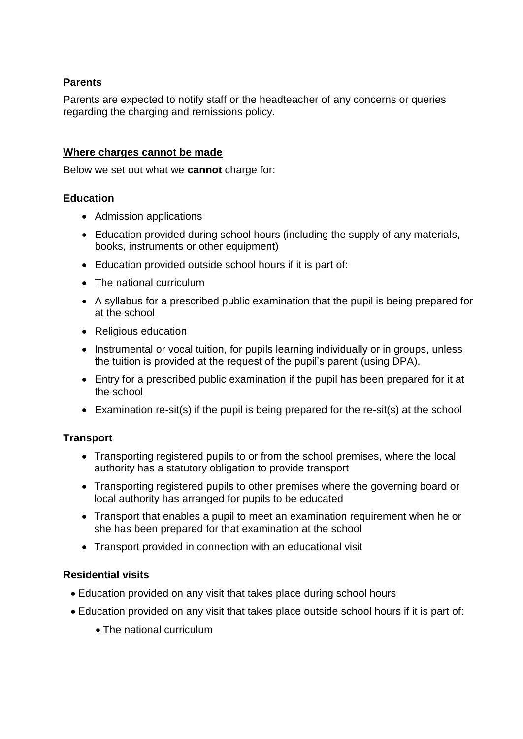## **Parents**

Parents are expected to notify staff or the headteacher of any concerns or queries regarding the charging and remissions policy.

## **Where charges cannot be made**

Below we set out what we **cannot** charge for:

## **Education**

- Admission applications
- Education provided during school hours (including the supply of any materials, books, instruments or other equipment)
- Education provided outside school hours if it is part of:
- The national curriculum
- A syllabus for a prescribed public examination that the pupil is being prepared for at the school
- Religious education
- Instrumental or vocal tuition, for pupils learning individually or in groups, unless the tuition is provided at the request of the pupil's parent (using DPA).
- Entry for a prescribed public examination if the pupil has been prepared for it at the school
- Examination re-sit(s) if the pupil is being prepared for the re-sit(s) at the school

## **Transport**

- Transporting registered pupils to or from the school premises, where the local authority has a statutory obligation to provide transport
- Transporting registered pupils to other premises where the governing board or local authority has arranged for pupils to be educated
- Transport that enables a pupil to meet an examination requirement when he or she has been prepared for that examination at the school
- Transport provided in connection with an educational visit

## **Residential visits**

- Education provided on any visit that takes place during school hours
- Education provided on any visit that takes place outside school hours if it is part of:
	- The national curriculum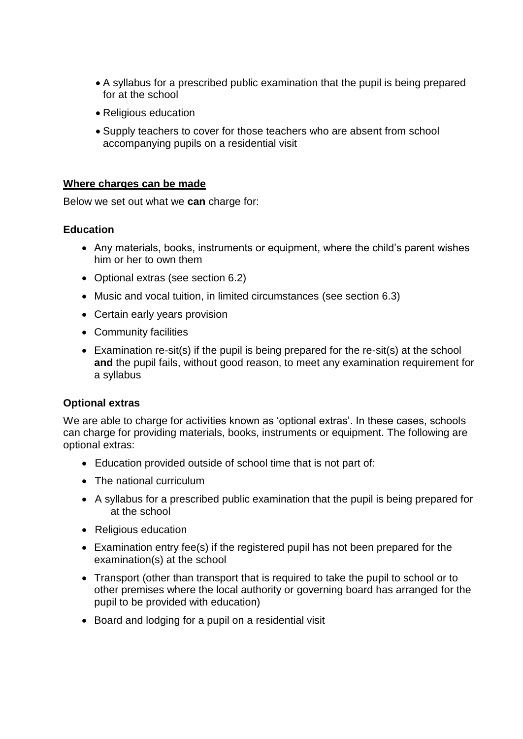- A syllabus for a prescribed public examination that the pupil is being prepared for at the school
- Religious education
- Supply teachers to cover for those teachers who are absent from school accompanying pupils on a residential visit

#### **Where charges can be made**

Below we set out what we **can** charge for:

#### **Education**

- Any materials, books, instruments or equipment, where the child's parent wishes him or her to own them
- Optional extras (see section 6.2)
- Music and vocal tuition, in limited circumstances (see section 6.3)
- Certain early years provision
- Community facilities
- Examination re-sit(s) if the pupil is being prepared for the re-sit(s) at the school **and** the pupil fails, without good reason, to meet any examination requirement for a syllabus

## **Optional extras**

We are able to charge for activities known as 'optional extras'. In these cases, schools can charge for providing materials, books, instruments or equipment. The following are optional extras:

- Education provided outside of school time that is not part of:
- The national curriculum
- A syllabus for a prescribed public examination that the pupil is being prepared for at the school
- Religious education
- Examination entry fee(s) if the registered pupil has not been prepared for the examination(s) at the school
- Transport (other than transport that is required to take the pupil to school or to other premises where the local authority or governing board has arranged for the pupil to be provided with education)
- Board and lodging for a pupil on a residential visit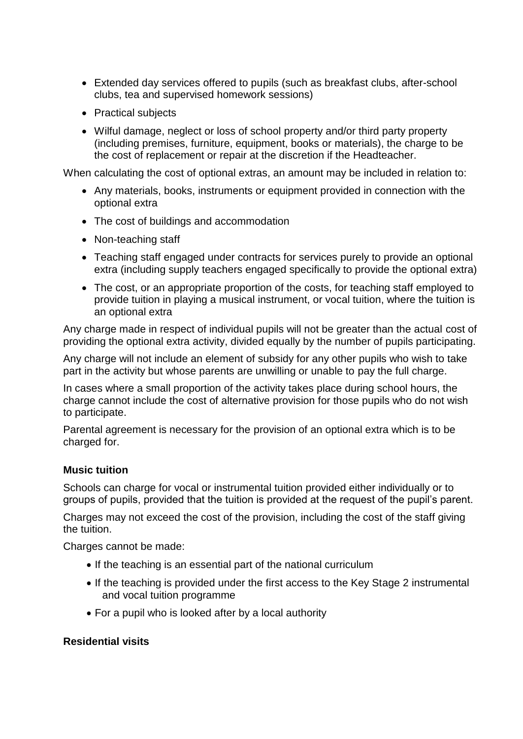- Extended day services offered to pupils (such as breakfast clubs, after-school clubs, tea and supervised homework sessions)
- Practical subjects
- Wilful damage, neglect or loss of school property and/or third party property (including premises, furniture, equipment, books or materials), the charge to be the cost of replacement or repair at the discretion if the Headteacher.

When calculating the cost of optional extras, an amount may be included in relation to:

- Any materials, books, instruments or equipment provided in connection with the optional extra
- The cost of buildings and accommodation
- Non-teaching staff
- Teaching staff engaged under contracts for services purely to provide an optional extra (including supply teachers engaged specifically to provide the optional extra)
- The cost, or an appropriate proportion of the costs, for teaching staff employed to provide tuition in playing a musical instrument, or vocal tuition, where the tuition is an optional extra

Any charge made in respect of individual pupils will not be greater than the actual cost of providing the optional extra activity, divided equally by the number of pupils participating.

Any charge will not include an element of subsidy for any other pupils who wish to take part in the activity but whose parents are unwilling or unable to pay the full charge.

In cases where a small proportion of the activity takes place during school hours, the charge cannot include the cost of alternative provision for those pupils who do not wish to participate.

Parental agreement is necessary for the provision of an optional extra which is to be charged for.

## **Music tuition**

Schools can charge for vocal or instrumental tuition provided either individually or to groups of pupils, provided that the tuition is provided at the request of the pupil's parent.

Charges may not exceed the cost of the provision, including the cost of the staff giving the tuition.

Charges cannot be made:

- If the teaching is an essential part of the national curriculum
- If the teaching is provided under the first access to the Key Stage 2 instrumental and vocal tuition programme
- For a pupil who is looked after by a local authority

## **Residential visits**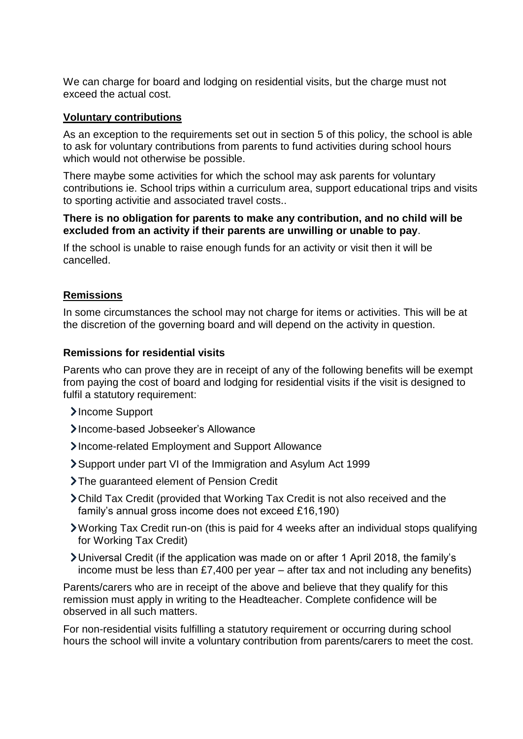We can charge for board and lodging on residential visits, but the charge must not exceed the actual cost.

#### **Voluntary contributions**

As an exception to the requirements set out in section 5 of this policy, the school is able to ask for voluntary contributions from parents to fund activities during school hours which would not otherwise be possible.

There maybe some activities for which the school may ask parents for voluntary contributions ie. School trips within a curriculum area, support educational trips and visits to sporting activitie and associated travel costs..

#### **There is no obligation for parents to make any contribution, and no child will be excluded from an activity if their parents are unwilling or unable to pay**.

If the school is unable to raise enough funds for an activity or visit then it will be cancelled.

## **Remissions**

In some circumstances the school may not charge for items or activities. This will be at the discretion of the governing board and will depend on the activity in question.

#### **Remissions for residential visits**

Parents who can prove they are in receipt of any of the following benefits will be exempt from paying the cost of board and lodging for residential visits if the visit is designed to fulfil a statutory requirement:

- >Income Support
- Income-based Jobseeker's Allowance
- Income-related Employment and Support Allowance
- Support under part VI of the Immigration and Asylum Act 1999
- > The quaranteed element of Pension Credit
- Child Tax Credit (provided that Working Tax Credit is not also received and the family's annual gross income does not exceed £16,190)
- Working Tax Credit run-on (this is paid for 4 weeks after an individual stops qualifying for Working Tax Credit)
- Universal Credit (if the application was made on or after 1 April 2018, the family's income must be less than £7,400 per year – after tax and not including any benefits)

Parents/carers who are in receipt of the above and believe that they qualify for this remission must apply in writing to the Headteacher. Complete confidence will be observed in all such matters.

For non-residential visits fulfilling a statutory requirement or occurring during school hours the school will invite a voluntary contribution from parents/carers to meet the cost.